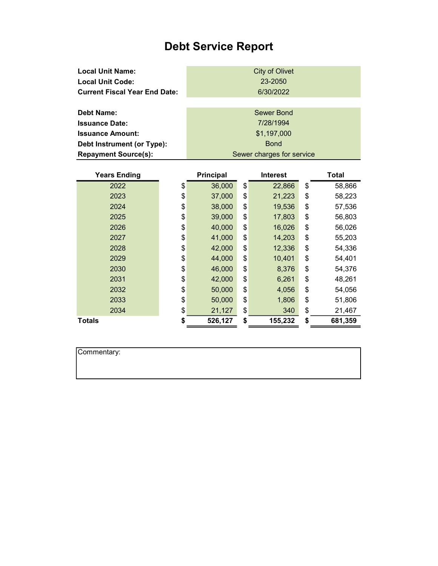## Debt Service Report

| <b>Local Unit Name:</b>              | <b>City of Olivet</b>     |
|--------------------------------------|---------------------------|
| <b>Local Unit Code:</b>              | 23-2050                   |
| <b>Current Fiscal Year End Date:</b> | 6/30/2022                 |
|                                      |                           |
| Debt Name:                           | Sewer Bond                |
| <b>Issuance Date:</b>                | 7/28/1994                 |
| <b>Issuance Amount:</b>              | \$1,197,000               |
| Debt Instrument (or Type):           | <b>Bond</b>               |
| <b>Repayment Source(s):</b>          | Sewer charges for service |

| <b>Years Ending</b> | <b>Principal</b> | <b>Interest</b> | Total         |
|---------------------|------------------|-----------------|---------------|
| 2022                | \$<br>36,000     | \$<br>22,866    | \$<br>58,866  |
| 2023                | \$<br>37,000     | \$<br>21,223    | \$<br>58,223  |
| 2024                | \$<br>38,000     | \$<br>19,536    | \$<br>57,536  |
| 2025                | \$<br>39,000     | \$<br>17,803    | \$<br>56,803  |
| 2026                | \$<br>40,000     | \$<br>16,026    | \$<br>56,026  |
| 2027                | \$<br>41,000     | \$<br>14,203    | \$<br>55,203  |
| 2028                | \$<br>42,000     | \$<br>12,336    | \$<br>54,336  |
| 2029                | \$<br>44,000     | \$<br>10,401    | \$<br>54,401  |
| 2030                | \$<br>46,000     | \$<br>8,376     | \$<br>54,376  |
| 2031                | \$<br>42,000     | \$<br>6,261     | \$<br>48,261  |
| 2032                | \$<br>50,000     | \$<br>4,056     | \$<br>54,056  |
| 2033                | \$<br>50,000     | \$<br>1,806     | \$<br>51,806  |
| 2034                | \$<br>21,127     | \$<br>340       | \$<br>21,467  |
| Totals              | \$<br>526,127    | \$<br>155,232   | \$<br>681,359 |

| Commentary: |  |  |  |
|-------------|--|--|--|
|             |  |  |  |
|             |  |  |  |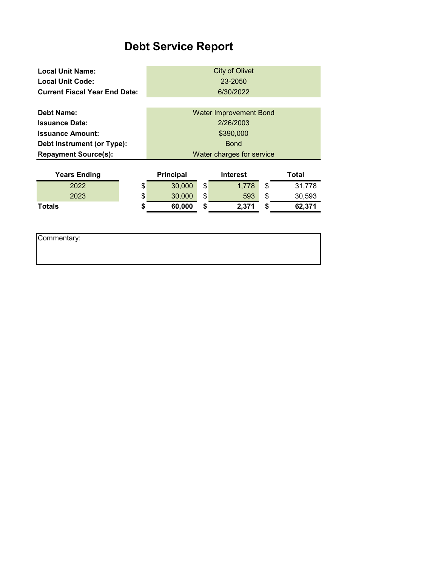## Debt Service Report

| <b>Local Unit Name:</b><br><b>Local Unit Code:</b><br><b>Current Fiscal Year End Date:</b> | <b>City of Olivet</b><br>23-2050<br>6/30/2022 |    |                               |    |        |
|--------------------------------------------------------------------------------------------|-----------------------------------------------|----|-------------------------------|----|--------|
| <b>Debt Name:</b>                                                                          |                                               |    | <b>Water Improvement Bond</b> |    |        |
| <b>Issuance Date:</b>                                                                      |                                               |    | 2/26/2003                     |    |        |
| <b>Issuance Amount:</b>                                                                    |                                               |    | \$390,000                     |    |        |
| Debt Instrument (or Type):                                                                 | <b>Bond</b>                                   |    |                               |    |        |
| <b>Repayment Source(s):</b>                                                                | Water charges for service                     |    |                               |    |        |
|                                                                                            |                                               |    |                               |    |        |
| <b>Years Ending</b>                                                                        | <b>Principal</b>                              |    | <b>Interest</b>               |    | Total  |
| 2022                                                                                       | \$<br>30,000                                  | \$ | 1,778                         | \$ | 31,778 |
| 2023                                                                                       | \$<br>30,000                                  | \$ | 593                           | \$ | 30,593 |
| Totals                                                                                     | \$<br>60,000                                  | \$ | 2,371                         | \$ | 62,371 |